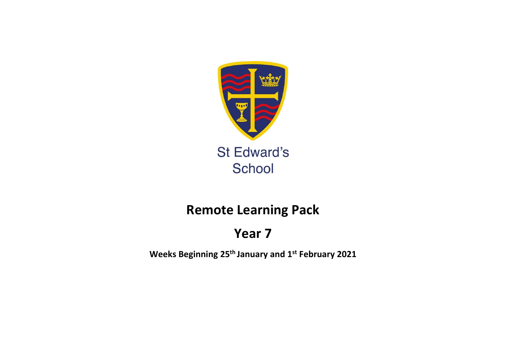

## **Remote Learning Pack**

# **Year 7**

**Weeks Beginning 25th January and 1 st February 2021**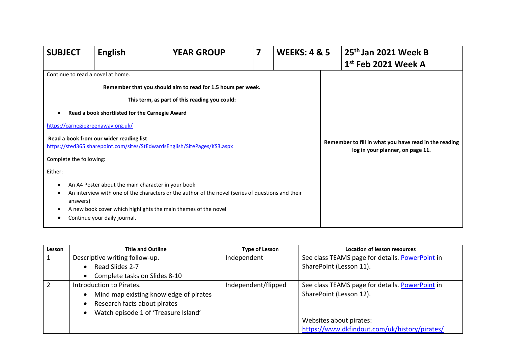| <b>SUBJECT</b>                                                                                                            | <b>English</b>                                                                                                                                                                                                              | <b>YEAR GROUP</b>                                                                                                                                                                                                  | 7 | <b>WEEKS: 4 &amp; 5</b> | 25 <sup>th</sup> Jan 2021 Week B<br>$1st$ Feb 2021 Week A                                 |
|---------------------------------------------------------------------------------------------------------------------------|-----------------------------------------------------------------------------------------------------------------------------------------------------------------------------------------------------------------------------|--------------------------------------------------------------------------------------------------------------------------------------------------------------------------------------------------------------------|---|-------------------------|-------------------------------------------------------------------------------------------|
| Continue to read a novel at home.<br>https://carnegiegreenaway.org.uk/<br>Complete the following:<br>Either:<br>$\bullet$ | Read a book shortlisted for the Carnegie Award<br>Read a book from our wider reading list<br>https://sted365.sharepoint.com/sites/StEdwardsEnglish/SitePages/KS3.aspx<br>An A4 Poster about the main character in your book | Remember that you should aim to read for 1.5 hours per week.<br>This term, as part of this reading you could:<br>An interview with one of the characters or the author of the novel (series of questions and their |   |                         | Remember to fill in what you have read in the reading<br>log in your planner, on page 11. |
| answers)                                                                                                                  | A new book cover which highlights the main themes of the novel<br>Continue your daily journal.                                                                                                                              |                                                                                                                                                                                                                    |   |                         |                                                                                           |

| Lesson | <b>Title and Outline</b>                            | <b>Type of Lesson</b> | <b>Location of lesson resources</b>             |
|--------|-----------------------------------------------------|-----------------------|-------------------------------------------------|
|        | Descriptive writing follow-up.                      | Independent           | See class TEAMS page for details. PowerPoint in |
|        | Read Slides 2-7<br>$\bullet$                        |                       | SharePoint (Lesson 11).                         |
|        | Complete tasks on Slides 8-10<br>$\bullet$          |                       |                                                 |
|        | Introduction to Pirates.                            | Independent/flipped   | See class TEAMS page for details. PowerPoint in |
|        | Mind map existing knowledge of pirates<br>$\bullet$ |                       | SharePoint (Lesson 12).                         |
|        | Research facts about pirates<br>$\bullet$           |                       |                                                 |
|        | Watch episode 1 of 'Treasure Island'<br>$\bullet$   |                       |                                                 |
|        |                                                     |                       | Websites about pirates:                         |
|        |                                                     |                       | https://www.dkfindout.com/uk/history/pirates/   |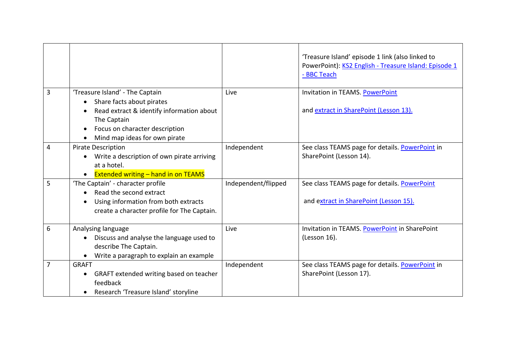|   |                                                                                                                                                                                                                                    |                     | 'Treasure Island' episode 1 link (also linked to<br>PowerPoint): KS2 English - Treasure Island: Episode 1<br>- BBC Teach |
|---|------------------------------------------------------------------------------------------------------------------------------------------------------------------------------------------------------------------------------------|---------------------|--------------------------------------------------------------------------------------------------------------------------|
| 3 | 'Treasure Island' - The Captain<br>Share facts about pirates<br>$\bullet$<br>Read extract & identify information about<br>$\bullet$<br>The Captain<br>Focus on character description<br>$\bullet$<br>Mind map ideas for own pirate | Live                | Invitation in TEAMS. PowerPoint<br>and extract in SharePoint (Lesson 13).                                                |
| 4 | <b>Pirate Description</b><br>Write a description of own pirate arriving<br>$\bullet$<br>at a hotel.<br><b>Extended writing - hand in on TEAMS</b><br>$\bullet$                                                                     | Independent         | See class TEAMS page for details. PowerPoint in<br>SharePoint (Lesson 14).                                               |
| 5 | 'The Captain' - character profile<br>Read the second extract<br>Using information from both extracts<br>$\bullet$<br>create a character profile for The Captain.                                                                   | Independent/flipped | See class TEAMS page for details. PowerPoint<br>and extract in SharePoint (Lesson 15).                                   |
| 6 | Analysing language<br>Discuss and analyse the language used to<br>$\bullet$<br>describe The Captain.<br>Write a paragraph to explain an example<br>$\bullet$                                                                       | Live                | Invitation in TEAMS. PowerPoint in SharePoint<br>(Lesson 16).                                                            |
| 7 | <b>GRAFT</b><br>GRAFT extended writing based on teacher<br>$\bullet$<br>feedback<br>Research 'Treasure Island' storyline<br>$\bullet$                                                                                              | Independent         | See class TEAMS page for details. PowerPoint in<br>SharePoint (Lesson 17).                                               |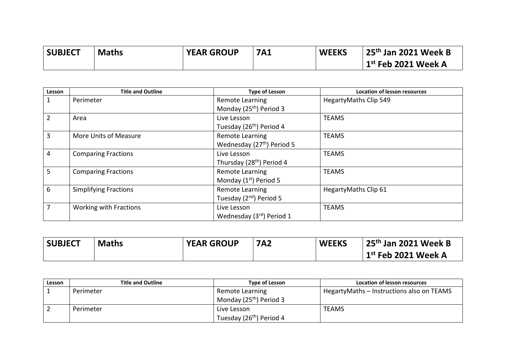| <b>SUBJECT</b> | <b>Maths</b> | <b>YEAR GROUP</b> | <b>7A1</b> | <b>WEEKS</b> | 25 <sup>th</sup> Jan 2021 Week B |
|----------------|--------------|-------------------|------------|--------------|----------------------------------|
|                |              |                   |            |              | $1st$ Feb 2021 Week A            |

| Lesson         | <b>Title and Outline</b>      | <b>Type of Lesson</b>                  | <b>Location of lesson resources</b> |
|----------------|-------------------------------|----------------------------------------|-------------------------------------|
|                | Perimeter                     | Remote Learning                        | HegartyMaths Clip 549               |
|                |                               | Monday (25 <sup>th</sup> ) Period 3    |                                     |
| $\overline{2}$ | Area                          | Live Lesson                            | <b>TEAMS</b>                        |
|                |                               | Tuesday (26 <sup>th</sup> ) Period 4   |                                     |
| 3              | More Units of Measure         | <b>Remote Learning</b>                 | <b>TEAMS</b>                        |
|                |                               | Wednesday (27 <sup>th</sup> ) Period 5 |                                     |
| 4              | <b>Comparing Fractions</b>    | Live Lesson                            | <b>TEAMS</b>                        |
|                |                               | Thursday (28 <sup>th</sup> ) Period 4  |                                     |
| 5              | <b>Comparing Fractions</b>    | Remote Learning                        | <b>TEAMS</b>                        |
|                |                               | Monday (1 <sup>st</sup> ) Period 5     |                                     |
| 6              | <b>Simplifying Fractions</b>  | <b>Remote Learning</b>                 | HegartyMaths Clip 61                |
|                |                               | Tuesday (2nd) Period 5                 |                                     |
| $\overline{7}$ | <b>Working with Fractions</b> | Live Lesson                            | <b>TEAMS</b>                        |
|                |                               | Wednesday (3rd) Period 1               |                                     |

| <b>SUBJECT</b> | <b>Maths</b> | <b>YEAR GROUP</b> | <b>7A2</b> | <b>WEEKS</b> | 25 <sup>th</sup> Jan 2021 Week B |
|----------------|--------------|-------------------|------------|--------------|----------------------------------|
|                |              |                   |            |              | $1st$ Feb 2021 Week A            |

| Lesson | <b>Title and Outline</b> | Type of Lesson                       | Location of lesson resources              |
|--------|--------------------------|--------------------------------------|-------------------------------------------|
|        | Perimeter                | Remote Learning                      | HegartyMaths - Instructions also on TEAMS |
|        |                          | Monday (25 <sup>th</sup> ) Period 3  |                                           |
|        | Perimeter                | Live Lesson                          | <b>TEAMS</b>                              |
|        |                          | Tuesday (26 <sup>th</sup> ) Period 4 |                                           |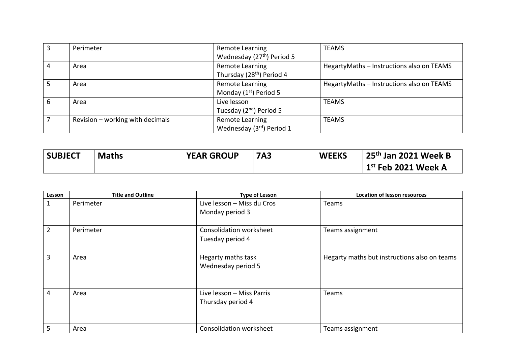|   | Perimeter                        | Remote Learning<br>Wednesday (27 <sup>th</sup> ) Period 5 | <b>TEAMS</b>                              |
|---|----------------------------------|-----------------------------------------------------------|-------------------------------------------|
| 4 | Area                             | Remote Learning<br>Thursday (28 <sup>th</sup> ) Period 4  | HegartyMaths - Instructions also on TEAMS |
|   | Area                             | Remote Learning<br>Monday $(1st)$ Period 5                | HegartyMaths - Instructions also on TEAMS |
| 6 | Area                             | Live lesson<br>Tuesday (2 <sup>nd</sup> ) Period 5        | <b>TEAMS</b>                              |
|   | Revision - working with decimals | Remote Learning<br>Wednesday (3rd) Period 1               | <b>TEAMS</b>                              |

| <b>SUBJECT</b> | <b>Maths</b> | <b>YEAR GROUP</b> | <b>7A3</b> | <b>WEEKS</b> | $\vert$ 25 <sup>th</sup> Jan 2021 Week B |
|----------------|--------------|-------------------|------------|--------------|------------------------------------------|
|                |              |                   |            |              | $\vert$ 1 $^{\rm st}$ Feb 2021 Week A    |

| Lesson         | <b>Title and Outline</b> | <b>Type of Lesson</b>      | <b>Location of lesson resources</b>          |
|----------------|--------------------------|----------------------------|----------------------------------------------|
| $\mathbf 1$    | Perimeter                | Live lesson - Miss du Cros | Teams                                        |
|                |                          | Monday period 3            |                                              |
| $\overline{2}$ | Perimeter                | Consolidation worksheet    | Teams assignment                             |
|                |                          | Tuesday period 4           |                                              |
| 3              | Area                     | Hegarty maths task         | Hegarty maths but instructions also on teams |
|                |                          | Wednesday period 5         |                                              |
| $\overline{4}$ | Area                     | Live lesson - Miss Parris  | Teams                                        |
|                |                          | Thursday period 4          |                                              |
| 5              | Area                     | Consolidation worksheet    | Teams assignment                             |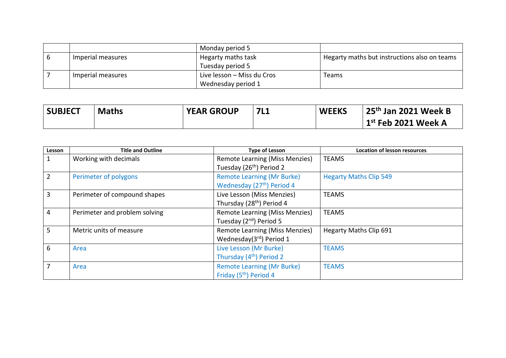|                   | Monday period 5            |                                              |
|-------------------|----------------------------|----------------------------------------------|
| Imperial measures | Hegarty maths task         | Hegarty maths but instructions also on teams |
|                   | Tuesday period 5           |                                              |
| Imperial measures | Live lesson - Miss du Cros | <b>Teams</b>                                 |
|                   | Wednesday period 1         |                                              |

| <b>SUBJECT</b> | <b>Maths</b> | <b>YEAR GROUP</b> | <b>7L1</b> | <b>WEEKS</b> | $25th$ Jan 2021 Week B |
|----------------|--------------|-------------------|------------|--------------|------------------------|
|                |              |                   |            |              | $1st$ Feb 2021 Week A  |

| Lesson         | <b>Title and Outline</b>      | <b>Type of Lesson</b>                  | <b>Location of lesson resources</b> |
|----------------|-------------------------------|----------------------------------------|-------------------------------------|
| $\mathbf{1}$   | Working with decimals         | Remote Learning (Miss Menzies)         | <b>TEAMS</b>                        |
|                |                               | Tuesday (26 <sup>th</sup> ) Period 2   |                                     |
| $\overline{2}$ | Perimeter of polygons         | <b>Remote Learning (Mr Burke)</b>      | <b>Hegarty Maths Clip 549</b>       |
|                |                               | Wednesday (27 <sup>th</sup> ) Period 4 |                                     |
| $\overline{3}$ | Perimeter of compound shapes  | Live Lesson (Miss Menzies)             | <b>TEAMS</b>                        |
|                |                               | Thursday (28 <sup>th</sup> ) Period 4  |                                     |
| $\overline{4}$ | Perimeter and problem solving | Remote Learning (Miss Menzies)         | <b>TEAMS</b>                        |
|                |                               | Tuesday (2 <sup>nd</sup> ) Period 5    |                                     |
| 5 <sup>1</sup> | Metric units of measure       | <b>Remote Learning (Miss Menzies)</b>  | <b>Hegarty Maths Clip 691</b>       |
|                |                               | Wednesday(3rd) Period 1                |                                     |
| 6              | Area                          | Live Lesson (Mr Burke)                 | <b>TEAMS</b>                        |
|                |                               | Thursday (4 <sup>th</sup> ) Period 2   |                                     |
| $\overline{7}$ | Area                          | <b>Remote Learning (Mr Burke)</b>      | <b>TEAMS</b>                        |
|                |                               | Friday (5 <sup>th</sup> ) Period 4     |                                     |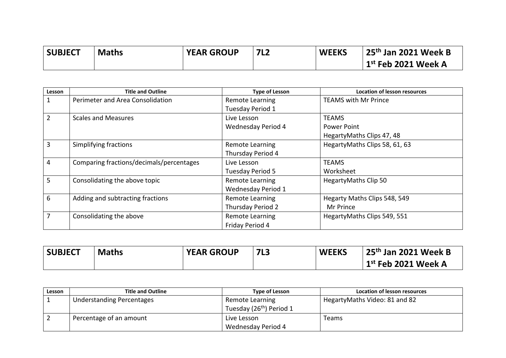| <b>SUBJECT</b> | <b>Maths</b> | <b>YEAR GROUP</b> | <b>7L2</b> | <b>WEEKS</b> | 25 <sup>th</sup> Jan 2021 Week B |
|----------------|--------------|-------------------|------------|--------------|----------------------------------|
|                |              |                   |            |              | $1st$ Feb 2021 Week A            |

| Lesson | <b>Title and Outline</b>                 | <b>Type of Lesson</b>     | <b>Location of lesson resources</b> |
|--------|------------------------------------------|---------------------------|-------------------------------------|
|        | Perimeter and Area Consolidation         | Remote Learning           | <b>TEAMS with Mr Prince</b>         |
|        |                                          | Tuesday Period 1          |                                     |
| 2      | <b>Scales and Measures</b>               | Live Lesson               | <b>TEAMS</b>                        |
|        |                                          | Wednesday Period 4        | Power Point                         |
|        |                                          |                           | HegartyMaths Clips 47, 48           |
| 3      | Simplifying fractions                    | <b>Remote Learning</b>    | HegartyMaths Clips 58, 61, 63       |
|        |                                          | Thursday Period 4         |                                     |
| 4      | Comparing fractions/decimals/percentages | Live Lesson               | <b>TEAMS</b>                        |
|        |                                          | Tuesday Period 5          | Worksheet                           |
| 5      | Consolidating the above topic            | Remote Learning           | HegartyMaths Clip 50                |
|        |                                          | <b>Wednesday Period 1</b> |                                     |
| 6      | Adding and subtracting fractions         | Remote Learning           | Hegarty Maths Clips 548, 549        |
|        |                                          | Thursday Period 2         | Mr Prince                           |
| 7      | Consolidating the above                  | Remote Learning           | HegartyMaths Clips 549, 551         |
|        |                                          | Friday Period 4           |                                     |

| <b>SUBJECT</b> | <b>Maths</b> | <b>YEAR GROUP</b> | 7L <sub>3</sub> | <b>WEEKS</b> | $25th$ Jan 2021 Week B |
|----------------|--------------|-------------------|-----------------|--------------|------------------------|
|                |              |                   |                 |              | $1st$ Feb 2021 Week A  |

| Lesson | <b>Title and Outline</b>  | <b>Type of Lesson</b>                | Location of lesson resources  |
|--------|---------------------------|--------------------------------------|-------------------------------|
|        | Understanding Percentages | Remote Learning                      | HegartyMaths Video: 81 and 82 |
|        |                           | Tuesday (26 <sup>th</sup> ) Period 1 |                               |
|        | Percentage of an amount   | Live Lesson                          | Teams                         |
|        |                           | Wednesday Period 4                   |                               |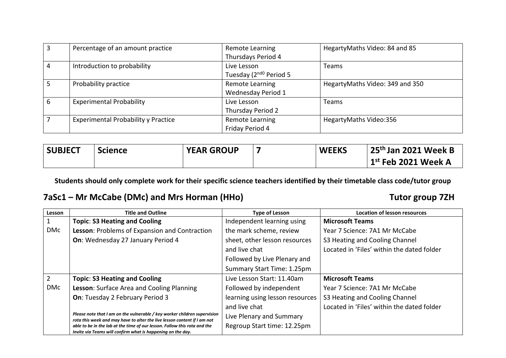|   | Percentage of an amount practice    | Remote Learning<br>Thursdays Period 4             | HegartyMaths Video: 84 and 85   |
|---|-------------------------------------|---------------------------------------------------|---------------------------------|
| 4 | Introduction to probability         | Live Lesson<br>Tuesday (2 <sup>nd0</sup> Period 5 | Teams                           |
|   | Probability practice                | Remote Learning<br>Wednesday Period 1             | HegartyMaths Video: 349 and 350 |
| 6 | <b>Experimental Probability</b>     | Live Lesson<br>Thursday Period 2                  | Teams                           |
|   | Experimental Probability y Practice | Remote Learning<br>Friday Period 4                | HegartyMaths Video:356          |

| <b>SUBJECT</b> | <b>Science</b> | <b>YEAR GROUP</b> | <b>WEEKS</b> | 25 <sup>th</sup> Jan 2021 Week B          |
|----------------|----------------|-------------------|--------------|-------------------------------------------|
|                |                |                   |              | $^{\prime}$ 1 $^{\rm st}$ Feb 2021 Week A |

### **7aSc1 – Mr McCabe (DMc) and Mrs Horman (HHo) Tutor group 7ZH**

| Lesson         | <b>Title and Outline</b>                                                                                                                              | <b>Type of Lesson</b>           | <b>Location of lesson resources</b>        |
|----------------|-------------------------------------------------------------------------------------------------------------------------------------------------------|---------------------------------|--------------------------------------------|
|                | <b>Topic: S3 Heating and Cooling</b>                                                                                                                  | Independent learning using      | <b>Microsoft Teams</b>                     |
| <b>DMc</b>     | Lesson: Problems of Expansion and Contraction                                                                                                         | the mark scheme, review         | Year 7 Science: 7A1 Mr McCabe              |
|                | On: Wednesday 27 January Period 4                                                                                                                     | sheet, other lesson resources   | S3 Heating and Cooling Channel             |
|                |                                                                                                                                                       | and live chat                   | Located in 'Files' within the dated folder |
|                |                                                                                                                                                       | Followed by Live Plenary and    |                                            |
|                |                                                                                                                                                       | Summary Start Time: 1.25pm      |                                            |
| $\overline{2}$ | <b>Topic: S3 Heating and Cooling</b>                                                                                                                  | Live Lesson Start: 11.40am      | <b>Microsoft Teams</b>                     |
| <b>DMc</b>     | Lesson: Surface Area and Cooling Planning                                                                                                             | Followed by independent         | Year 7 Science: 7A1 Mr McCabe              |
|                | On: Tuesday 2 February Period 3                                                                                                                       | learning using lesson resources | S3 Heating and Cooling Channel             |
|                |                                                                                                                                                       | and live chat                   | Located in 'Files' within the dated folder |
|                | Please note that I am on the vulnerable / key worker children supervision<br>rota this week and may have to alter the live lesson content if I am not | Live Plenary and Summary        |                                            |
|                | able to be in the lab at the time of our lesson. Follow this rota and the<br>Invite via Teams will confirm what is happening on the day.              | Regroup Start time: 12.25pm     |                                            |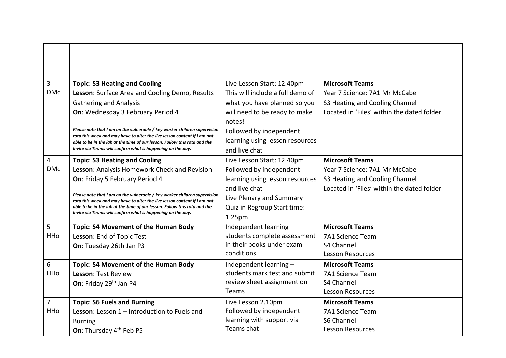| 3          | <b>Topic: S3 Heating and Cooling</b>                                                                                                                  | Live Lesson Start: 12.40pm       | <b>Microsoft Teams</b>                     |
|------------|-------------------------------------------------------------------------------------------------------------------------------------------------------|----------------------------------|--------------------------------------------|
| <b>DMc</b> | Lesson: Surface Area and Cooling Demo, Results                                                                                                        | This will include a full demo of | Year 7 Science: 7A1 Mr McCabe              |
|            | <b>Gathering and Analysis</b>                                                                                                                         | what you have planned so you     | S3 Heating and Cooling Channel             |
|            | On: Wednesday 3 February Period 4                                                                                                                     | will need to be ready to make    | Located in 'Files' within the dated folder |
|            |                                                                                                                                                       | notes!                           |                                            |
|            | Please note that I am on the vulnerable / key worker children supervision                                                                             | Followed by independent          |                                            |
|            | rota this week and may have to alter the live lesson content if I am not<br>able to be in the lab at the time of our lesson. Follow this rota and the | learning using lesson resources  |                                            |
|            | Invite via Teams will confirm what is happening on the day.                                                                                           | and live chat                    |                                            |
| 4          | <b>Topic: S3 Heating and Cooling</b>                                                                                                                  | Live Lesson Start: 12.40pm       | <b>Microsoft Teams</b>                     |
| <b>DMc</b> | Lesson: Analysis Homework Check and Revision                                                                                                          | Followed by independent          | Year 7 Science: 7A1 Mr McCabe              |
|            | On: Friday 5 February Period 4                                                                                                                        | learning using lesson resources  | S3 Heating and Cooling Channel             |
|            |                                                                                                                                                       | and live chat                    | Located in 'Files' within the dated folder |
|            | Please note that I am on the vulnerable / key worker children supervision<br>rota this week and may have to alter the live lesson content if I am not | Live Plenary and Summary         |                                            |
|            | able to be in the lab at the time of our lesson. Follow this rota and the                                                                             | Quiz in Regroup Start time:      |                                            |
|            | Invite via Teams will confirm what is happening on the day.                                                                                           | 1.25pm                           |                                            |
| 5          | Topic: S4 Movement of the Human Body                                                                                                                  | Independent learning -           | <b>Microsoft Teams</b>                     |
| HHo        | Lesson: End of Topic Test                                                                                                                             | students complete assessment     | 7A1 Science Team                           |
|            | On: Tuesday 26th Jan P3                                                                                                                               | in their books under exam        | S4 Channel                                 |
|            |                                                                                                                                                       | conditions                       | <b>Lesson Resources</b>                    |
| 6          | Topic: S4 Movement of the Human Body                                                                                                                  | Independent learning -           | <b>Microsoft Teams</b>                     |
| <b>HHo</b> | Lesson: Test Review                                                                                                                                   | students mark test and submit    | 7A1 Science Team                           |
|            | On: Friday 29th Jan P4                                                                                                                                | review sheet assignment on       | S4 Channel                                 |
|            |                                                                                                                                                       | Teams                            | <b>Lesson Resources</b>                    |
| 7          | <b>Topic: S6 Fuels and Burning</b>                                                                                                                    | Live Lesson 2.10pm               | <b>Microsoft Teams</b>                     |
| HHo        | Lesson: Lesson 1 - Introduction to Fuels and                                                                                                          | Followed by independent          | 7A1 Science Team                           |
|            | <b>Burning</b>                                                                                                                                        | learning with support via        | S6 Channel                                 |
|            | On: Thursday 4 <sup>th</sup> Feb P5                                                                                                                   | Teams chat                       | <b>Lesson Resources</b>                    |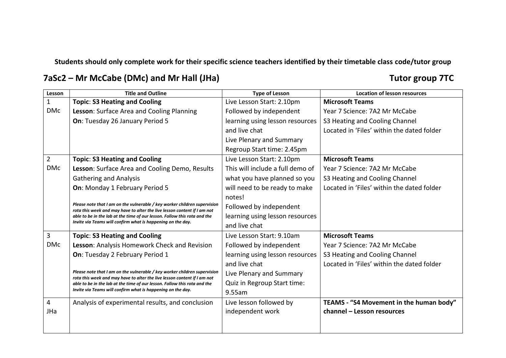**7aSc2 – Mr McCabe (DMc) and Mr Hall (JHa) Tutor group 7TC**

| Lesson         | <b>Title and Outline</b>                                                                                                                              | <b>Type of Lesson</b>            | <b>Location of lesson resources</b>        |
|----------------|-------------------------------------------------------------------------------------------------------------------------------------------------------|----------------------------------|--------------------------------------------|
| $\mathbf{1}$   | <b>Topic: S3 Heating and Cooling</b>                                                                                                                  | Live Lesson Start: 2.10pm        | <b>Microsoft Teams</b>                     |
| <b>DMc</b>     | Lesson: Surface Area and Cooling Planning                                                                                                             | Followed by independent          | Year 7 Science: 7A2 Mr McCabe              |
|                | On: Tuesday 26 January Period 5                                                                                                                       | learning using lesson resources  | S3 Heating and Cooling Channel             |
|                |                                                                                                                                                       | and live chat                    | Located in 'Files' within the dated folder |
|                |                                                                                                                                                       | Live Plenary and Summary         |                                            |
|                |                                                                                                                                                       | Regroup Start time: 2.45pm       |                                            |
| $\overline{2}$ | <b>Topic: S3 Heating and Cooling</b>                                                                                                                  | Live Lesson Start: 2.10pm        | <b>Microsoft Teams</b>                     |
| <b>DMc</b>     | Lesson: Surface Area and Cooling Demo, Results                                                                                                        | This will include a full demo of | Year 7 Science: 7A2 Mr McCabe              |
|                | <b>Gathering and Analysis</b>                                                                                                                         | what you have planned so you     | S3 Heating and Cooling Channel             |
|                | On: Monday 1 February Period 5                                                                                                                        | will need to be ready to make    | Located in 'Files' within the dated folder |
|                |                                                                                                                                                       | notes!                           |                                            |
|                | Please note that I am on the vulnerable / key worker children supervision<br>rota this week and may have to alter the live lesson content if I am not | Followed by independent          |                                            |
|                | able to be in the lab at the time of our lesson. Follow this rota and the                                                                             | learning using lesson resources  |                                            |
|                | Invite via Teams will confirm what is happening on the day.                                                                                           | and live chat                    |                                            |
| 3              | <b>Topic: S3 Heating and Cooling</b>                                                                                                                  | Live Lesson Start: 9.10am        | <b>Microsoft Teams</b>                     |
| <b>DMc</b>     | Lesson: Analysis Homework Check and Revision                                                                                                          | Followed by independent          | Year 7 Science: 7A2 Mr McCabe              |
|                | On: Tuesday 2 February Period 1                                                                                                                       | learning using lesson resources  | S3 Heating and Cooling Channel             |
|                |                                                                                                                                                       | and live chat                    | Located in 'Files' within the dated folder |
|                | Please note that I am on the vulnerable / key worker children supervision<br>rota this week and may have to alter the live lesson content if I am not | Live Plenary and Summary         |                                            |
|                | able to be in the lab at the time of our lesson. Follow this rota and the                                                                             | Quiz in Regroup Start time:      |                                            |
|                | Invite via Teams will confirm what is happening on the day.                                                                                           | 9.55am                           |                                            |
| 4              | Analysis of experimental results, and conclusion                                                                                                      | Live lesson followed by          | TEAMS - "S4 Movement in the human body"    |
| JHa            |                                                                                                                                                       | independent work                 | channel - Lesson resources                 |
|                |                                                                                                                                                       |                                  |                                            |
|                |                                                                                                                                                       |                                  |                                            |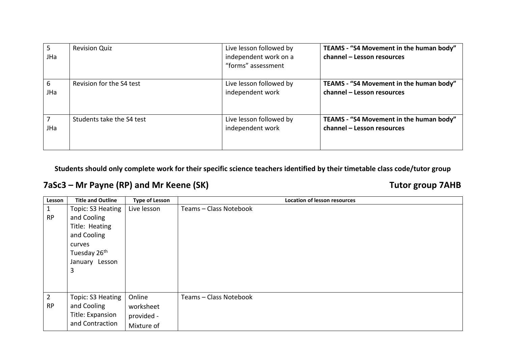| 5.<br>JHa | <b>Revision Quiz</b>      | Live lesson followed by<br>independent work on a<br>"forms" assessment | TEAMS - "S4 Movement in the human body"<br>channel - Lesson resources |
|-----------|---------------------------|------------------------------------------------------------------------|-----------------------------------------------------------------------|
| 6<br>JHa  | Revision for the S4 test  | Live lesson followed by<br>independent work                            | TEAMS - "S4 Movement in the human body"<br>channel - Lesson resources |
| JHa       | Students take the S4 test | Live lesson followed by<br>independent work                            | TEAMS - "S4 Movement in the human body"<br>channel - Lesson resources |

## **7aSc3 – Mr Payne (RP) and Mr Keene (SK) Tutor group 7AHB**

| Lesson         | <b>Title and Outline</b> | <b>Type of Lesson</b> | <b>Location of lesson resources</b> |
|----------------|--------------------------|-----------------------|-------------------------------------|
| 1              | Topic: S3 Heating        | Live lesson           | Teams - Class Notebook              |
| <b>RP</b>      | and Cooling              |                       |                                     |
|                | Title: Heating           |                       |                                     |
|                | and Cooling              |                       |                                     |
|                | curves                   |                       |                                     |
|                | Tuesday 26 <sup>th</sup> |                       |                                     |
|                | January Lesson           |                       |                                     |
|                | 3                        |                       |                                     |
|                |                          |                       |                                     |
|                |                          |                       |                                     |
| $\overline{2}$ | Topic: S3 Heating        | Online                | Teams - Class Notebook              |
| <b>RP</b>      | and Cooling              | worksheet             |                                     |
|                | Title: Expansion         | provided -            |                                     |
|                | and Contraction          | Mixture of            |                                     |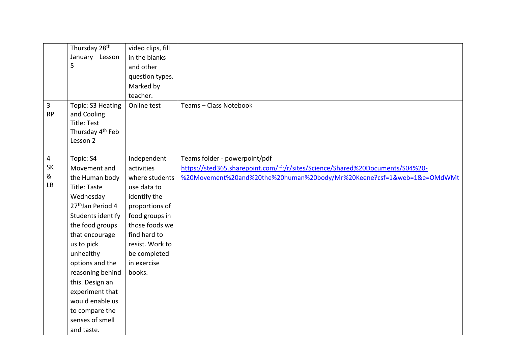| $\mathbf{3}$   | Thursday 28 <sup>th</sup><br>January Lesson<br>5<br>Topic: S3 Heating         | video clips, fill<br>in the blanks<br>and other<br>question types.<br>Marked by<br>teacher.<br>Online test | Teams - Class Notebook                                                        |
|----------------|-------------------------------------------------------------------------------|------------------------------------------------------------------------------------------------------------|-------------------------------------------------------------------------------|
| <b>RP</b>      | and Cooling<br><b>Title: Test</b><br>Thursday 4 <sup>th</sup> Feb<br>Lesson 2 |                                                                                                            |                                                                               |
| $\overline{4}$ | Topic: S4                                                                     | Independent                                                                                                | Teams folder - powerpoint/pdf                                                 |
| <b>SK</b>      | Movement and                                                                  | activities                                                                                                 | https://sted365.sharepoint.com/:f:/r/sites/Science/Shared%20Documents/S04%20- |
| &<br>LB        | the Human body                                                                | where students                                                                                             | %20Movement%20and%20the%20human%20body/Mr%20Keene?csf=1&web=1&e=OMdWMt        |
|                | <b>Title: Taste</b>                                                           | use data to                                                                                                |                                                                               |
|                | Wednesday                                                                     | identify the                                                                                               |                                                                               |
|                | 27 <sup>th</sup> Jan Period 4                                                 | proportions of                                                                                             |                                                                               |
|                | Students identify                                                             | food groups in                                                                                             |                                                                               |
|                | the food groups                                                               | those foods we                                                                                             |                                                                               |
|                | that encourage                                                                | find hard to                                                                                               |                                                                               |
|                | us to pick                                                                    | resist. Work to                                                                                            |                                                                               |
|                | unhealthy                                                                     | be completed                                                                                               |                                                                               |
|                | options and the                                                               | in exercise                                                                                                |                                                                               |
|                | reasoning behind                                                              | books.                                                                                                     |                                                                               |
|                | this. Design an                                                               |                                                                                                            |                                                                               |
|                | experiment that                                                               |                                                                                                            |                                                                               |
|                | would enable us                                                               |                                                                                                            |                                                                               |
|                | to compare the                                                                |                                                                                                            |                                                                               |
|                | senses of smell                                                               |                                                                                                            |                                                                               |
|                | and taste.                                                                    |                                                                                                            |                                                                               |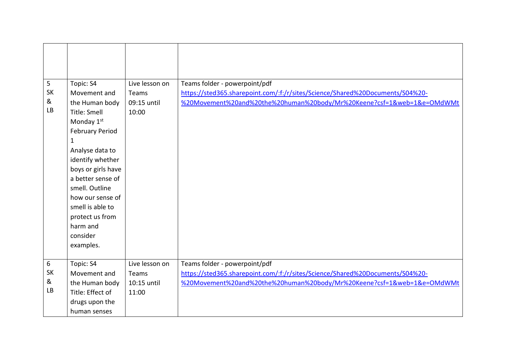| 5<br><b>SK</b><br>&<br><b>LB</b>   | Topic: S4<br>Movement and<br>the Human body<br>Title: Smell<br>Monday 1st<br><b>February Period</b><br>$\mathbf 1$<br>Analyse data to<br>identify whether<br>boys or girls have<br>a better sense of<br>smell. Outline<br>how our sense of<br>smell is able to<br>protect us from<br>harm and<br>consider<br>examples. | Live lesson on<br>Teams<br>09:15 until<br>10:00 | Teams folder - powerpoint/pdf<br>https://sted365.sharepoint.com/:f:/r/sites/Science/Shared%20Documents/S04%20-<br>%20Movement%20and%20the%20human%20body/Mr%20Keene?csf=1&web=1&e=OMdWMt |
|------------------------------------|------------------------------------------------------------------------------------------------------------------------------------------------------------------------------------------------------------------------------------------------------------------------------------------------------------------------|-------------------------------------------------|------------------------------------------------------------------------------------------------------------------------------------------------------------------------------------------|
| $\sqrt{6}$<br><b>SK</b><br>&<br>LB | Topic: S4<br>Movement and<br>the Human body<br>Title: Effect of<br>drugs upon the<br>human senses                                                                                                                                                                                                                      | Live lesson on<br>Teams<br>10:15 until<br>11:00 | Teams folder - powerpoint/pdf<br>https://sted365.sharepoint.com/:f:/r/sites/Science/Shared%20Documents/S04%20-<br>%20Movement%20and%20the%20human%20body/Mr%20Keene?csf=1&web=1&e=OMdWMt |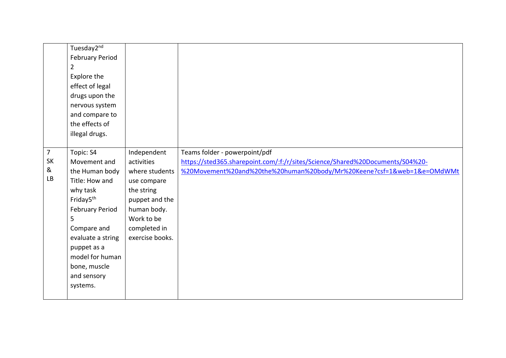|                                        | Tuesday2 <sup>nd</sup><br><b>February Period</b><br>$\overline{2}$<br>Explore the<br>effect of legal<br>drugs upon the<br>nervous system<br>and compare to<br>the effects of<br>illegal drugs.                                                     |                                                                                                                                                            |                                                                                                                                                                                          |
|----------------------------------------|----------------------------------------------------------------------------------------------------------------------------------------------------------------------------------------------------------------------------------------------------|------------------------------------------------------------------------------------------------------------------------------------------------------------|------------------------------------------------------------------------------------------------------------------------------------------------------------------------------------------|
| $\overline{7}$<br><b>SK</b><br>&<br>LB | Topic: S4<br>Movement and<br>the Human body<br>Title: How and<br>why task<br>Friday5 <sup>th</sup><br><b>February Period</b><br>5<br>Compare and<br>evaluate a string<br>puppet as a<br>model for human<br>bone, muscle<br>and sensory<br>systems. | Independent<br>activities<br>where students<br>use compare<br>the string<br>puppet and the<br>human body.<br>Work to be<br>completed in<br>exercise books. | Teams folder - powerpoint/pdf<br>https://sted365.sharepoint.com/:f:/r/sites/Science/Shared%20Documents/S04%20-<br>%20Movement%20and%20the%20human%20body/Mr%20Keene?csf=1&web=1&e=OMdWMt |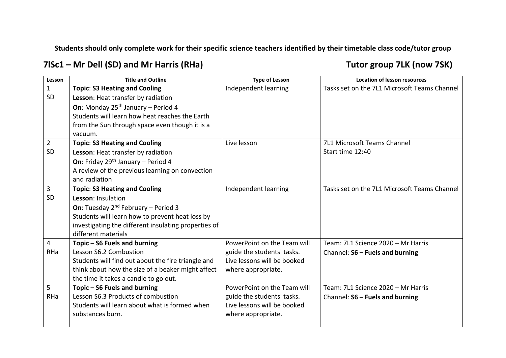### **7lSc1 – Mr Dell (SD) and Mr Harris (RHa) Tutor group 7LK (now 7SK)**

| Lesson         | <b>Title and Outline</b>                             | <b>Type of Lesson</b>       | <b>Location of lesson resources</b>          |
|----------------|------------------------------------------------------|-----------------------------|----------------------------------------------|
| $\mathbf{1}$   | <b>Topic: S3 Heating and Cooling</b>                 | Independent learning        | Tasks set on the 7L1 Microsoft Teams Channel |
| <b>SD</b>      | Lesson: Heat transfer by radiation                   |                             |                                              |
|                | On: Monday 25 <sup>th</sup> January - Period 4       |                             |                                              |
|                | Students will learn how heat reaches the Earth       |                             |                                              |
|                | from the Sun through space even though it is a       |                             |                                              |
|                | vacuum.                                              |                             |                                              |
| $\overline{2}$ | <b>Topic: S3 Heating and Cooling</b>                 | Live lesson                 | 7L1 Microsoft Teams Channel                  |
| SD             | Lesson: Heat transfer by radiation                   |                             | Start time 12:40                             |
|                | On: Friday 29 <sup>th</sup> January - Period 4       |                             |                                              |
|                | A review of the previous learning on convection      |                             |                                              |
|                | and radiation                                        |                             |                                              |
| $\mathbf{3}$   | <b>Topic: S3 Heating and Cooling</b>                 | Independent learning        | Tasks set on the 7L1 Microsoft Teams Channel |
| <b>SD</b>      | Lesson: Insulation                                   |                             |                                              |
|                | <b>On:</b> Tuesday $2^{nd}$ February – Period 3      |                             |                                              |
|                | Students will learn how to prevent heat loss by      |                             |                                              |
|                | investigating the different insulating properties of |                             |                                              |
|                | different materials                                  |                             |                                              |
| $\overline{4}$ | Topic - S6 Fuels and burning                         | PowerPoint on the Team will | Team: 7L1 Science 2020 - Mr Harris           |
| RHa            | Lesson S6.2 Combustion                               | guide the students' tasks.  | Channel: S6 - Fuels and burning              |
|                | Students will find out about the fire triangle and   | Live lessons will be booked |                                              |
|                | think about how the size of a beaker might affect    | where appropriate.          |                                              |
|                | the time it takes a candle to go out.                |                             |                                              |
| 5              | Topic - S6 Fuels and burning                         | PowerPoint on the Team will | Team: 7L1 Science 2020 - Mr Harris           |
| RHa            | Lesson S6.3 Products of combustion                   | guide the students' tasks.  | Channel: S6 - Fuels and burning              |
|                | Students will learn about what is formed when        | Live lessons will be booked |                                              |
|                | substances burn.                                     | where appropriate.          |                                              |
|                |                                                      |                             |                                              |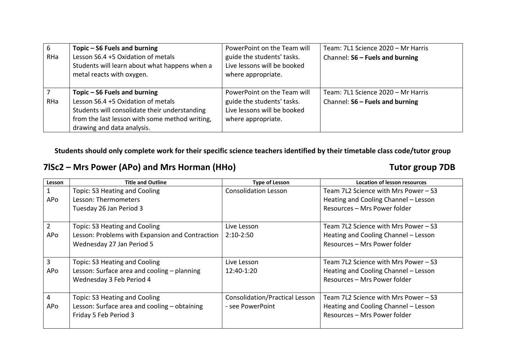| 6   | Topic – S6 Fuels and burning                   | PowerPoint on the Team will | Team: 7L1 Science 2020 - Mr Harris |
|-----|------------------------------------------------|-----------------------------|------------------------------------|
| RHa | Lesson S6.4 +5 Oxidation of metals             | guide the students' tasks.  | Channel: S6 - Fuels and burning    |
|     | Students will learn about what happens when a  | Live lessons will be booked |                                    |
|     | metal reacts with oxygen.                      | where appropriate.          |                                    |
|     |                                                |                             |                                    |
|     | Topic $-$ S6 Fuels and burning                 | PowerPoint on the Team will | Team: 7L1 Science 2020 - Mr Harris |
| RHa | Lesson S6.4 +5 Oxidation of metals             | guide the students' tasks.  | Channel: S6 - Fuels and burning    |
|     | Students will consolidate their understanding  | Live lessons will be booked |                                    |
|     | from the last lesson with some method writing, | where appropriate.          |                                    |
|     | drawing and data analysis.                     |                             |                                    |

**7lSc2 – Mrs Power (APo) and Mrs Horman (HHo) Tutor group 7DB**

| Lesson         | <b>Title and Outline</b>                        | <b>Type of Lesson</b>          | <b>Location of lesson resources</b>    |
|----------------|-------------------------------------------------|--------------------------------|----------------------------------------|
|                | Topic: S3 Heating and Cooling                   | <b>Consolidation Lesson</b>    | Team 7L2 Science with Mrs Power $-$ S3 |
| APo            | Lesson: Thermometers                            |                                | Heating and Cooling Channel - Lesson   |
|                | Tuesday 26 Jan Period 3                         |                                | Resources - Mrs Power folder           |
| $\overline{2}$ | Topic: S3 Heating and Cooling                   | Live Lesson                    | Team 7L2 Science with Mrs Power $-$ S3 |
| APo            | Lesson: Problems with Expansion and Contraction | $2:10-2:50$                    | Heating and Cooling Channel - Lesson   |
|                | Wednesday 27 Jan Period 5                       |                                | Resources - Mrs Power folder           |
| 3              | Topic: S3 Heating and Cooling                   | Live Lesson                    | Team 7L2 Science with Mrs Power $-$ S3 |
| APo            | Lesson: Surface area and cooling - planning     | 12:40-1:20                     | Heating and Cooling Channel - Lesson   |
|                | Wednesday 3 Feb Period 4                        |                                | Resources - Mrs Power folder           |
| 4              | Topic: S3 Heating and Cooling                   | Consolidation/Practical Lesson | Team 7L2 Science with Mrs Power $-$ S3 |
| APo            | Lesson: Surface area and cooling - obtaining    | - see PowerPoint               | Heating and Cooling Channel - Lesson   |
|                | Friday 5 Feb Period 3                           |                                | Resources - Mrs Power folder           |
|                |                                                 |                                |                                        |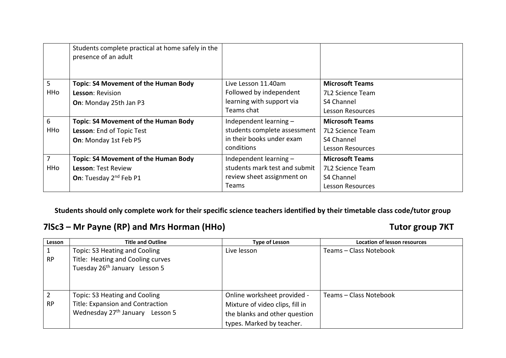|                | Students complete practical at home safely in the<br>presence of an adult |                               |                         |
|----------------|---------------------------------------------------------------------------|-------------------------------|-------------------------|
| 5              | Topic: S4 Movement of the Human Body                                      | Live Lesson 11.40am           | <b>Microsoft Teams</b>  |
| HHo            | <b>Lesson: Revision</b>                                                   | Followed by independent       | <b>7L2 Science Team</b> |
|                | On: Monday 25th Jan P3                                                    | learning with support via     | S4 Channel              |
|                |                                                                           | Teams chat                    | <b>Lesson Resources</b> |
| 6              | Topic: S4 Movement of the Human Body                                      | Independent learning -        | <b>Microsoft Teams</b>  |
| HHo            | Lesson: End of Topic Test                                                 | students complete assessment  | <b>7L2 Science Team</b> |
|                | On: Monday 1st Feb P5                                                     | in their books under exam     | S4 Channel              |
|                |                                                                           | conditions                    | Lesson Resources        |
| $\overline{7}$ | Topic: S4 Movement of the Human Body                                      | Independent learning -        | <b>Microsoft Teams</b>  |
| HHo            | <b>Lesson: Test Review</b>                                                | students mark test and submit | <b>7L2 Science Team</b> |
|                | On: Tuesday 2 <sup>nd</sup> Feb P1                                        | review sheet assignment on    | S4 Channel              |
|                |                                                                           | Teams                         | <b>Lesson Resources</b> |

### **7lSc3 – Mr Payne (RP) and Mrs Horman (HHo) Tutor group 7KT**

| Lesson    | <b>Title and Outline</b>                    | <b>Type of Lesson</b>           | <b>Location of lesson resources</b> |
|-----------|---------------------------------------------|---------------------------------|-------------------------------------|
|           | Topic: S3 Heating and Cooling               | Live lesson                     | Teams – Class Notebook              |
| <b>RP</b> | Title: Heating and Cooling curves           |                                 |                                     |
|           | Tuesday 26 <sup>th</sup> January Lesson 5   |                                 |                                     |
|           |                                             |                                 |                                     |
|           |                                             |                                 |                                     |
| 2         | Topic: S3 Heating and Cooling               | Online worksheet provided -     | Teams - Class Notebook              |
| <b>RP</b> | Title: Expansion and Contraction            | Mixture of video clips, fill in |                                     |
|           | Wednesday 27 <sup>th</sup> January Lesson 5 | the blanks and other question   |                                     |
|           |                                             | types. Marked by teacher.       |                                     |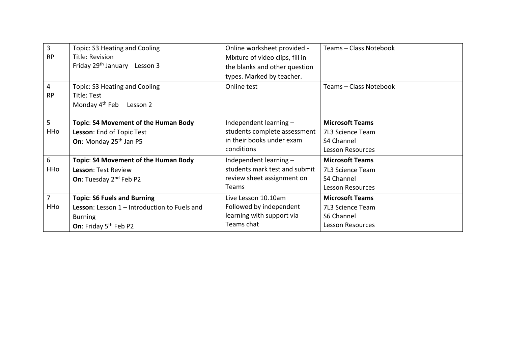| $\overline{3}$  | Topic: S3 Heating and Cooling                | Online worksheet provided -     | Teams - Class Notebook  |
|-----------------|----------------------------------------------|---------------------------------|-------------------------|
| <b>RP</b>       | Title: Revision                              | Mixture of video clips, fill in |                         |
|                 | Friday 29 <sup>th</sup> January Lesson 3     | the blanks and other question   |                         |
|                 |                                              | types. Marked by teacher.       |                         |
| 4               | Topic: S3 Heating and Cooling                | Online test                     | Teams - Class Notebook  |
| <b>RP</b>       | Title: Test                                  |                                 |                         |
|                 | Monday 4 <sup>th</sup> Feb Lesson 2          |                                 |                         |
|                 |                                              |                                 |                         |
| $5\overline{)}$ | Topic: S4 Movement of the Human Body         | Independent learning -          | <b>Microsoft Teams</b>  |
| HHo             | Lesson: End of Topic Test                    | students complete assessment    | 7L3 Science Team        |
|                 | On: Monday 25 <sup>th</sup> Jan P5           | in their books under exam       | S4 Channel              |
|                 |                                              | conditions                      | <b>Lesson Resources</b> |
| 6               | Topic: S4 Movement of the Human Body         | Independent learning -          | <b>Microsoft Teams</b>  |
| HHo             | Lesson: Test Review                          | students mark test and submit   | 7L3 Science Team        |
|                 | On: Tuesday 2 <sup>nd</sup> Feb P2           | review sheet assignment on      | S4 Channel              |
|                 |                                              | Teams                           | <b>Lesson Resources</b> |
| $\overline{7}$  | <b>Topic: S6 Fuels and Burning</b>           | Live Lesson 10.10am             | <b>Microsoft Teams</b>  |
| HHo             | Lesson: Lesson 1 - Introduction to Fuels and | Followed by independent         | 7L3 Science Team        |
|                 | <b>Burning</b>                               | learning with support via       | S6 Channel              |
|                 | On: Friday 5 <sup>th</sup> Feb P2            | Teams chat                      | <b>Lesson Resources</b> |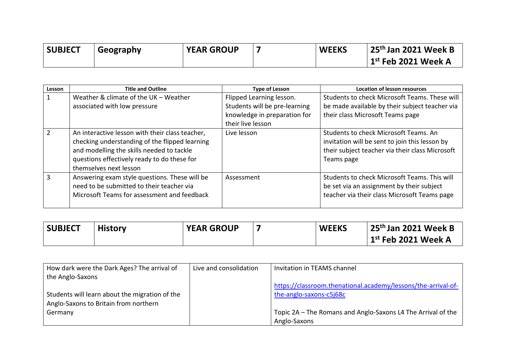| <b>SUBJECT</b> | Geography | <b>YEAR GROUP</b> | <b>WEEKS</b> | 25 <sup>th</sup> Jan 2021 Week B |
|----------------|-----------|-------------------|--------------|----------------------------------|
|                |           |                   |              | $1st$ Feb 2021 Week A            |

| Lesson | <b>Title and Outline</b>                                                                                                                                                                                                | <b>Type of Lesson</b>                                                                                          | <b>Location of lesson resources</b>                                                                                                                      |
|--------|-------------------------------------------------------------------------------------------------------------------------------------------------------------------------------------------------------------------------|----------------------------------------------------------------------------------------------------------------|----------------------------------------------------------------------------------------------------------------------------------------------------------|
|        | Weather & climate of the UK - Weather<br>associated with low pressure                                                                                                                                                   | Flipped Learning lesson.<br>Students will be pre-learning<br>knowledge in preparation for<br>their live lesson | Students to check Microsoft Teams. These will<br>be made available by their subject teacher via<br>their class Microsoft Teams page                      |
|        | An interactive lesson with their class teacher,<br>checking understanding of the flipped learning<br>and modelling the skills needed to tackle<br>questions effectively ready to do these for<br>themselves next lesson | Live lesson                                                                                                    | Students to check Microsoft Teams. An<br>invitation will be sent to join this lesson by<br>their subject teacher via their class Microsoft<br>Teams page |
|        | Answering exam style questions. These will be<br>need to be submitted to their teacher via<br>Microsoft Teams for assessment and feedback                                                                               | Assessment                                                                                                     | Students to check Microsoft Teams. This will<br>be set via an assignment by their subject<br>teacher via their class Microsoft Teams page                |

| <b>SUBJECT</b> | <b>History</b> | <b>YEAR GROUP</b> | <b>WEEKS</b> | <sup> </sup> 25 <sup>th</sup> Jan 2021 Week B |
|----------------|----------------|-------------------|--------------|-----------------------------------------------|
|                |                |                   |              | 1st Feb 2021 Week A                           |

| How dark were the Dark Ages? The arrival of    | Live and consolidation | Invitation in TEAMS channel                                   |
|------------------------------------------------|------------------------|---------------------------------------------------------------|
| the Anglo-Saxons                               |                        |                                                               |
|                                                |                        | https://classroom.thenational.academy/lessons/the-arrival-of- |
| Students will learn about the migration of the |                        | the-anglo-saxons-c5j68c                                       |
| Anglo-Saxons to Britain from northern          |                        |                                                               |
| Germany                                        |                        | Topic 2A – The Romans and Anglo-Saxons L4 The Arrival of the  |
|                                                |                        | Anglo-Saxons                                                  |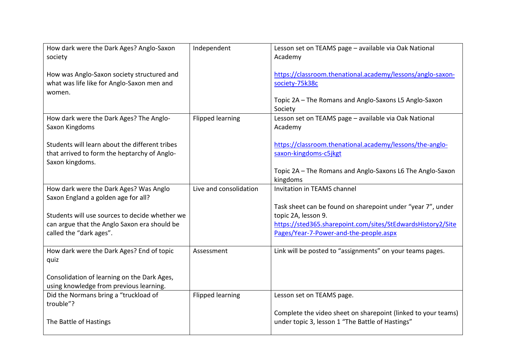| How dark were the Dark Ages? Anglo-Saxon<br>society                                                                       | Independent             | Lesson set on TEAMS page - available via Oak National<br>Academy                                                                                                                            |
|---------------------------------------------------------------------------------------------------------------------------|-------------------------|---------------------------------------------------------------------------------------------------------------------------------------------------------------------------------------------|
| How was Anglo-Saxon society structured and<br>what was life like for Anglo-Saxon men and<br>women.                        |                         | https://classroom.thenational.academy/lessons/anglo-saxon-<br>society-75k38c                                                                                                                |
|                                                                                                                           |                         | Topic 2A - The Romans and Anglo-Saxons L5 Anglo-Saxon<br>Society                                                                                                                            |
| How dark were the Dark Ages? The Anglo-<br>Saxon Kingdoms                                                                 | <b>Flipped learning</b> | Lesson set on TEAMS page - available via Oak National<br>Academy                                                                                                                            |
| Students will learn about the different tribes<br>that arrived to form the heptarchy of Anglo-<br>Saxon kingdoms.         |                         | https://classroom.thenational.academy/lessons/the-anglo-<br>saxon-kingdoms-c5jkgt                                                                                                           |
|                                                                                                                           |                         | Topic 2A - The Romans and Anglo-Saxons L6 The Anglo-Saxon<br>kingdoms                                                                                                                       |
| How dark were the Dark Ages? Was Anglo<br>Saxon England a golden age for all?                                             | Live and consolidation  | Invitation in TEAMS channel                                                                                                                                                                 |
| Students will use sources to decide whether we<br>can argue that the Anglo Saxon era should be<br>called the "dark ages". |                         | Task sheet can be found on sharepoint under "year 7", under<br>topic 2A, lesson 9.<br>https://sted365.sharepoint.com/sites/StEdwardsHistory2/Site<br>Pages/Year-7-Power-and-the-people.aspx |
| How dark were the Dark Ages? End of topic<br>quiz                                                                         | Assessment              | Link will be posted to "assignments" on your teams pages.                                                                                                                                   |
| Consolidation of learning on the Dark Ages,<br>using knowledge from previous learning.                                    |                         |                                                                                                                                                                                             |
| Did the Normans bring a "truckload of<br>trouble"?                                                                        | <b>Flipped learning</b> | Lesson set on TEAMS page.                                                                                                                                                                   |
| The Battle of Hastings                                                                                                    |                         | Complete the video sheet on sharepoint (linked to your teams)<br>under topic 3, lesson 1 "The Battle of Hastings"                                                                           |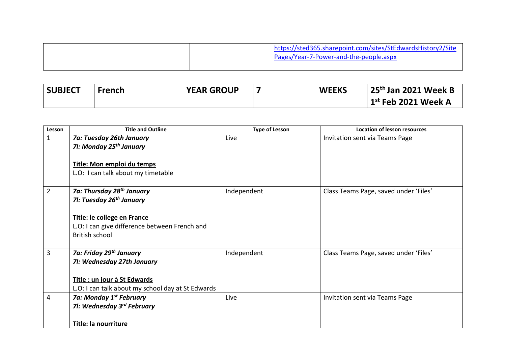|  | https://sted365.sharepoint.com/sites/StEdwardsHistory2/Site<br>Pages/Year-7-Power-and-the-people.aspx |
|--|-------------------------------------------------------------------------------------------------------|
|  |                                                                                                       |

| <b>SUBJECT</b> | <b>French</b> | <b>YEAR GROUP</b> | <b>WEEKS</b> | $\frac{1}{2}$ 25 <sup>th</sup> Jan 2021 Week B |
|----------------|---------------|-------------------|--------------|------------------------------------------------|
|                |               |                   |              | $1st$ Feb 2021 Week A                          |

| Lesson         | <b>Title and Outline</b>                                                                                                                                                        | <b>Type of Lesson</b> | <b>Location of lesson resources</b>   |
|----------------|---------------------------------------------------------------------------------------------------------------------------------------------------------------------------------|-----------------------|---------------------------------------|
| $\mathbf{1}$   | 7a: Tuesday 26th January<br>71: Monday 25 <sup>th</sup> January<br>Title: Mon emploi du temps<br>L.O: I can talk about my timetable                                             | Live                  | Invitation sent via Teams Page        |
| $\overline{2}$ | 7a: Thursday 28 <sup>th</sup> January<br>71: Tuesday 26 <sup>th</sup> January<br>Title: le college en France<br>L.O: I can give difference between French and<br>British school | Independent           | Class Teams Page, saved under 'Files' |
| 3              | 7a: Friday 29 <sup>th</sup> January<br>71: Wednesday 27th January<br>Title : un jour à St Edwards<br>L.O: I can talk about my school day at St Edwards                          | Independent           | Class Teams Page, saved under 'Files' |
| 4              | 7a: Monday 1 <sup>st</sup> February<br>71: Wednesday 3 <sup>rd</sup> February<br>Title: la nourriture                                                                           | Live                  | Invitation sent via Teams Page        |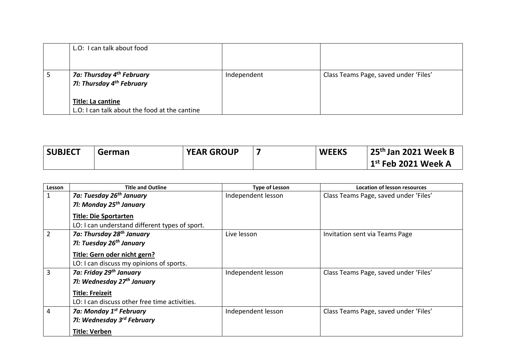| L.O: I can talk about food                                                     |             |                                       |
|--------------------------------------------------------------------------------|-------------|---------------------------------------|
| 7a: Thursday 4 <sup>th</sup> February<br>71: Thursday 4 <sup>th</sup> February | Independent | Class Teams Page, saved under 'Files' |
| <b>Title: La cantine</b><br>L.O: I can talk about the food at the cantine      |             |                                       |

| <b>SUBJECT</b> | German | <b>YEAR GROUP</b> | <b>WEEKS</b> | $\vert$ 25 <sup>th</sup> Jan 2021 Week B |
|----------------|--------|-------------------|--------------|------------------------------------------|
|                |        |                   |              | $1st$ Feb 2021 Week A                    |

| Lesson         | <b>Title and Outline</b>                       | <b>Type of Lesson</b> | <b>Location of lesson resources</b>   |
|----------------|------------------------------------------------|-----------------------|---------------------------------------|
| $\mathbf 1$    | 7a: Tuesday 26 <sup>th</sup> January           | Independent lesson    | Class Teams Page, saved under 'Files' |
|                | 71: Monday 25 <sup>th</sup> January            |                       |                                       |
|                | <b>Title: Die Sportarten</b>                   |                       |                                       |
|                | LO: I can understand different types of sport. |                       |                                       |
| $\overline{2}$ | 7a: Thursday 28 <sup>th</sup> January          | Live lesson           | Invitation sent via Teams Page        |
|                | 71: Tuesday 26 <sup>th</sup> January           |                       |                                       |
|                | Title: Gern oder nicht gern?                   |                       |                                       |
|                | LO: I can discuss my opinions of sports.       |                       |                                       |
| 3              | 7a: Friday 29th January                        | Independent lesson    | Class Teams Page, saved under 'Files' |
|                | 71: Wednesday 27 <sup>th</sup> January         |                       |                                       |
|                | <b>Title: Freizeit</b>                         |                       |                                       |
|                | LO: I can discuss other free time activities.  |                       |                                       |
| 4              | 7a: Monday 1 <sup>st</sup> February            | Independent lesson    | Class Teams Page, saved under 'Files' |
|                | 71: Wednesday 3 <sup>rd</sup> February         |                       |                                       |
|                | <b>Title: Verben</b>                           |                       |                                       |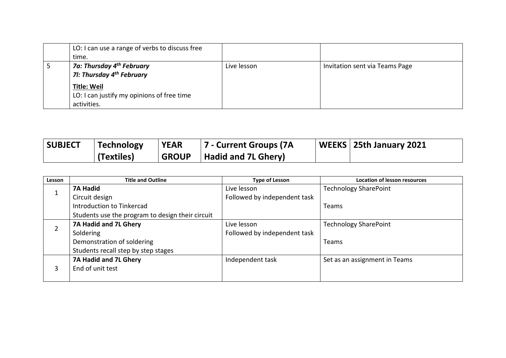| LO: I can use a range of verbs to discuss free |             |                                |
|------------------------------------------------|-------------|--------------------------------|
| time.                                          |             |                                |
| 7a: Thursday 4 <sup>th</sup> February          | Live lesson | Invitation sent via Teams Page |
| 71: Thursday 4 <sup>th</sup> February          |             |                                |
| <b>Title: Weil</b>                             |             |                                |
| LO: I can justify my opinions of free time     |             |                                |
| activities.                                    |             |                                |

| <b>SUBJECT</b> | Technology   | <b>YEAR</b>  | 7 - Current Groups (7A     | WEEKS   25th January 2021 |
|----------------|--------------|--------------|----------------------------|---------------------------|
|                | l (Textiles) | <b>GROUP</b> | <b>Hadid and 7L Ghery)</b> |                           |

| Lesson | <b>Title and Outline</b>                         | <b>Type of Lesson</b>        | <b>Location of lesson resources</b> |
|--------|--------------------------------------------------|------------------------------|-------------------------------------|
|        | <b>7A Hadid</b>                                  | Live lesson                  | <b>Technology SharePoint</b>        |
| ᅩ      | Circuit design                                   | Followed by independent task |                                     |
|        | Introduction to Tinkercad                        |                              | Teams                               |
|        | Students use the program to design their circuit |                              |                                     |
|        | 7A Hadid and 7L Ghery                            | Live lesson                  | <b>Technology SharePoint</b>        |
| ∠      | Soldering                                        | Followed by independent task |                                     |
|        | Demonstration of soldering                       |                              | Teams                               |
|        | Students recall step by step stages              |                              |                                     |
|        | 7A Hadid and 7L Ghery                            | Independent task             | Set as an assignment in Teams       |
| 3      | End of unit test                                 |                              |                                     |
|        |                                                  |                              |                                     |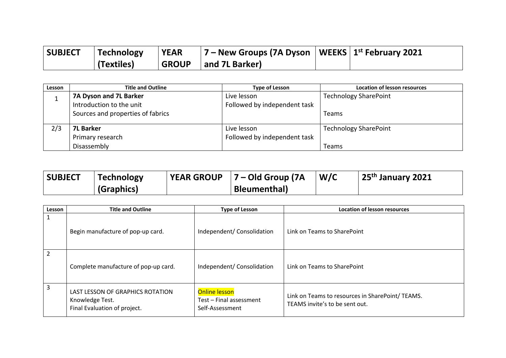| <b>SUBJECT</b> | Technology | <b>YEAR</b>  | $ 7 -$ New Groups (7A Dyson   WEEKS $ 1^{st}$ February 2021 |  |
|----------------|------------|--------------|-------------------------------------------------------------|--|
|                | (Textiles) | <b>GROUP</b> | and 7L Barker)                                              |  |

| Lesson | <b>Title and Outline</b>          | <b>Type of Lesson</b>        | <b>Location of lesson resources</b> |
|--------|-----------------------------------|------------------------------|-------------------------------------|
|        | 7A Dyson and 7L Barker            | Live lesson                  | <b>Technology SharePoint</b>        |
|        | Introduction to the unit          | Followed by independent task |                                     |
|        | Sources and properties of fabrics |                              | <b>Teams</b>                        |
|        |                                   |                              |                                     |
| 2/3    | <b>7L Barker</b>                  | Live lesson                  | <b>Technology SharePoint</b>        |
|        | Primary research                  | Followed by independent task |                                     |
|        | Disassembly                       |                              | Teams                               |

| <b>SUBJECT</b> | Technology | <b>YEAR GROUP</b> | 7 – Old Group (7A    | W/C | 25 <sup>th</sup> January 2021 |
|----------------|------------|-------------------|----------------------|-----|-------------------------------|
|                | (Graphics) |                   | <b>Bleumenthal</b> ) |     |                               |

| Lesson | <b>Title and Outline</b>                                                            | <b>Type of Lesson</b>                                              | <b>Location of lesson resources</b>                                               |
|--------|-------------------------------------------------------------------------------------|--------------------------------------------------------------------|-----------------------------------------------------------------------------------|
| 1      | Begin manufacture of pop-up card.                                                   | Independent/ Consolidation                                         | Link on Teams to SharePoint                                                       |
| 2      | Complete manufacture of pop-up card.                                                | Independent/ Consolidation                                         | Link on Teams to SharePoint                                                       |
| 3      | LAST LESSON OF GRAPHICS ROTATION<br>Knowledge Test.<br>Final Evaluation of project. | <b>Online lesson</b><br>Test – Final assessment<br>Self-Assessment | Link on Teams to resources in SharePoint/TEAMS.<br>TEAMS invite's to be sent out. |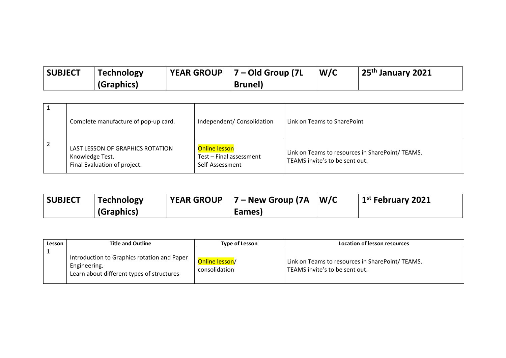| <b>SUBJECT</b> | <b>Technology</b> | <b>VEAR GROUP</b> $ 7 -$ Old Group (7L | W/C | 25 <sup>th</sup> January 2021 |
|----------------|-------------------|----------------------------------------|-----|-------------------------------|
|                | (Graphics)        | <b>Brunel</b> )                        |     |                               |

|   | Complete manufacture of pop-up card.                                                | Independent/ Consolidation                                         | Link on Teams to SharePoint                                                       |
|---|-------------------------------------------------------------------------------------|--------------------------------------------------------------------|-----------------------------------------------------------------------------------|
| 2 | LAST LESSON OF GRAPHICS ROTATION<br>Knowledge Test.<br>Final Evaluation of project. | <b>Online lesson</b><br>Test - Final assessment<br>Self-Assessment | Link on Teams to resources in SharePoint/TEAMS.<br>TEAMS invite's to be sent out. |

| <b>SUBJECT</b> | <b>Technology</b> | <b>YEAR GROUP</b> | $ 7 -$ New Group (7A $ $ | W/C | $\vert$ 1 <sup>st</sup> February 2021 |
|----------------|-------------------|-------------------|--------------------------|-----|---------------------------------------|
|                | (Graphics)        |                   | Eames)                   |     |                                       |

| Lesson | <b>Title and Outline</b>                                                                                 | Type of Lesson                  | Location of lesson resources                                                      |
|--------|----------------------------------------------------------------------------------------------------------|---------------------------------|-----------------------------------------------------------------------------------|
|        | Introduction to Graphics rotation and Paper<br>Engineering.<br>Learn about different types of structures | Online lesson/<br>consolidation | Link on Teams to resources in SharePoint/TEAMS.<br>TEAMS invite's to be sent out. |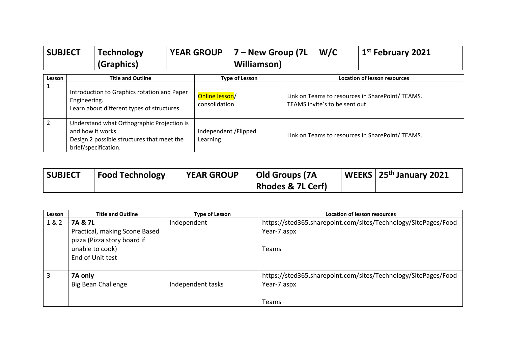| <b>SUBJECT</b> |                                                                                                                                       | <b>Technology</b><br>(Graphics) |                                   | <b>YEAR GROUP</b> | 7 – New Group (7L<br><b>Williamson</b> )                                          |  | W/C | 1 <sup>st</sup> February 2021       |
|----------------|---------------------------------------------------------------------------------------------------------------------------------------|---------------------------------|-----------------------------------|-------------------|-----------------------------------------------------------------------------------|--|-----|-------------------------------------|
| Lesson         |                                                                                                                                       | <b>Title and Outline</b>        |                                   |                   | <b>Type of Lesson</b>                                                             |  |     | <b>Location of lesson resources</b> |
|                | Introduction to Graphics rotation and Paper<br>Engineering.<br>Learn about different types of structures                              |                                 | Online lesson/<br>consolidation   |                   | Link on Teams to resources in SharePoint/TEAMS.<br>TEAMS invite's to be sent out. |  |     |                                     |
| $\overline{2}$ | Understand what Orthographic Projection is<br>and how it works.<br>Design 2 possible structures that meet the<br>brief/specification. |                                 | Independent / Flipped<br>Learning |                   | Link on Teams to resources in SharePoint/TEAMS.                                   |  |     |                                     |

| <b>SUBJECT</b> | <b>Food Technology</b> | <b>YEAR GROUP</b> | Old Groups (7A               | $\vert$ WEEKS $\vert$ 25 <sup>th</sup> January 2021 |
|----------------|------------------------|-------------------|------------------------------|-----------------------------------------------------|
|                |                        |                   | <b>Rhodes &amp; 7L Cerf)</b> |                                                     |

| Lesson | <b>Title and Outline</b>                                           | <b>Type of Lesson</b> | <b>Location of lesson resources</b>                                            |
|--------|--------------------------------------------------------------------|-----------------------|--------------------------------------------------------------------------------|
| 1 & 2  | 7A & 7L                                                            | Independent           | https://sted365.sharepoint.com/sites/Technology/SitePages/Food-                |
|        | Practical, making Scone Based                                      |                       | Year-7.aspx                                                                    |
|        | pizza (Pizza story board if<br>unable to cook)<br>End of Unit test |                       | Teams                                                                          |
| 3      | 7A only<br>Big Bean Challenge                                      | Independent tasks     | https://sted365.sharepoint.com/sites/Technology/SitePages/Food-<br>Year-7.aspx |
|        |                                                                    |                       | <b>Teams</b>                                                                   |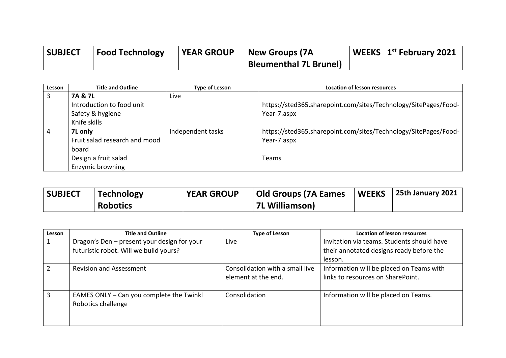| <b>SUBJECT</b> | <b>Food Technology</b> | <b>YEAR GROUP</b> | New Groups (7A                | <b>WEEKS</b>   $1^{st}$ February 2021 |
|----------------|------------------------|-------------------|-------------------------------|---------------------------------------|
|                |                        |                   | <b>Bleumenthal 7L Brunel)</b> |                                       |

| Lesson | <b>Title and Outline</b>      | <b>Type of Lesson</b> | <b>Location of lesson resources</b>                             |
|--------|-------------------------------|-----------------------|-----------------------------------------------------------------|
| 3      | 7A & 7L                       | Live                  |                                                                 |
|        | Introduction to food unit     |                       | https://sted365.sharepoint.com/sites/Technology/SitePages/Food- |
|        | Safety & hygiene              |                       | Year-7.aspx                                                     |
|        | Knife skills                  |                       |                                                                 |
| 4      | 7L only                       | Independent tasks     | https://sted365.sharepoint.com/sites/Technology/SitePages/Food- |
|        | Fruit salad research and mood |                       | Year-7.aspx                                                     |
|        | board                         |                       |                                                                 |
|        | Design a fruit salad          |                       | Teams                                                           |
|        | Enzymic browning              |                       |                                                                 |

| <b>SUBJECT</b> | <b>Technology</b> | <b>YEAR GROUP</b> | Old Groups (7A Eames | WEEKS | 25th January 2021 |
|----------------|-------------------|-------------------|----------------------|-------|-------------------|
|                | <b>Robotics</b>   |                   | 7L Williamson)       |       |                   |

| Lesson        | <b>Title and Outline</b>                    | <b>Type of Lesson</b>           | Location of lesson resources               |
|---------------|---------------------------------------------|---------------------------------|--------------------------------------------|
|               | Dragon's Den - present your design for your | Live                            | Invitation via teams. Students should have |
|               | futuristic robot. Will we build yours?      |                                 | their annotated designs ready before the   |
|               |                                             |                                 | lesson.                                    |
| $\mathcal{P}$ | <b>Revision and Assessment</b>              | Consolidation with a small live | Information will be placed on Teams with   |
|               |                                             | element at the end.             | links to resources on SharePoint.          |
|               |                                             |                                 |                                            |
| 3             | EAMES ONLY - Can you complete the Twinkl    | Consolidation                   | Information will be placed on Teams.       |
|               | Robotics challenge                          |                                 |                                            |
|               |                                             |                                 |                                            |
|               |                                             |                                 |                                            |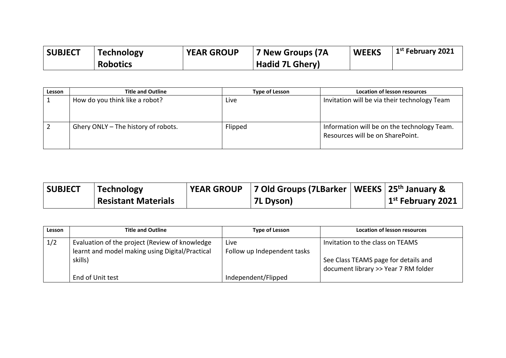| <b>SUBJECT</b> | <b>Technology</b> | <b>YEAR GROUP</b> | 7 New Groups (7A       | <b>WEEKS</b> | 1 <sup>st</sup> February 2021 |
|----------------|-------------------|-------------------|------------------------|--------------|-------------------------------|
|                | <b>Robotics</b>   |                   | <b>Hadid 7L Ghery)</b> |              |                               |

| Lesson | <b>Title and Outline</b>            | <b>Type of Lesson</b> | <b>Location of lesson resources</b>                                             |
|--------|-------------------------------------|-----------------------|---------------------------------------------------------------------------------|
|        | How do you think like a robot?      | Live                  | Invitation will be via their technology Team                                    |
|        | Ghery ONLY - The history of robots. | Flipped               | Information will be on the technology Team.<br>Resources will be on SharePoint. |

| <b>SUBJECT</b> | <b>Technology</b>          | <b>YEAR GROUP</b> | 7 Old Groups (7LBarker   WEEKS   25 <sup>th</sup> January & |                                       |
|----------------|----------------------------|-------------------|-------------------------------------------------------------|---------------------------------------|
|                | <b>Resistant Materials</b> |                   | 7L Dyson)                                                   | $\vert$ 1 <sup>st</sup> February 2021 |

| Lesson | <b>Title and Outline</b>                                                                          | <b>Type of Lesson</b>               | <b>Location of lesson resources</b>                                          |
|--------|---------------------------------------------------------------------------------------------------|-------------------------------------|------------------------------------------------------------------------------|
| 1/2    | Evaluation of the project (Review of knowledge<br>learnt and model making using Digital/Practical | Live<br>Follow up Independent tasks | Invitation to the class on TEAMS                                             |
|        | skills)                                                                                           |                                     | See Class TEAMS page for details and<br>document library >> Year 7 RM folder |
|        | End of Unit test                                                                                  | Independent/Flipped                 |                                                                              |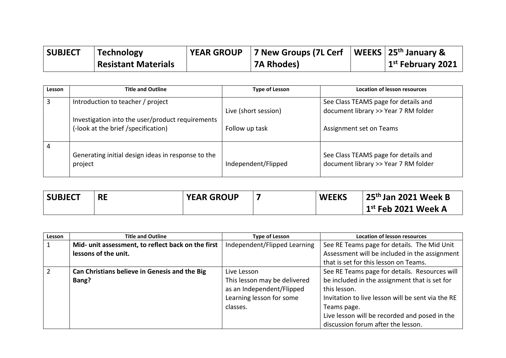| <b>SUBJECT</b> | <b>Technology</b>          | <b>YEAR GROUP</b> | 7 New Groups (7L Cerf   WEEKS   25 <sup>th</sup> January & |                                       |  |
|----------------|----------------------------|-------------------|------------------------------------------------------------|---------------------------------------|--|
|                | <b>Resistant Materials</b> |                   | ' 7A Rhodes)                                               | $\vert$ 1 <sup>st</sup> February 2021 |  |

| Lesson                                                                                  | <b>Title and Outline</b>                                      | <b>Type of Lesson</b> | <b>Location of lesson resources</b>                                          |
|-----------------------------------------------------------------------------------------|---------------------------------------------------------------|-----------------------|------------------------------------------------------------------------------|
| 3                                                                                       | Introduction to teacher / project                             |                       | See Class TEAMS page for details and                                         |
|                                                                                         |                                                               | Live (short session)  | document library >> Year 7 RM folder                                         |
| Investigation into the user/product requirements<br>(-look at the brief /specification) |                                                               | Follow up task        | Assignment set on Teams                                                      |
| 4                                                                                       | Generating initial design ideas in response to the<br>project | Independent/Flipped   | See Class TEAMS page for details and<br>document library >> Year 7 RM folder |

| <b>SUBJECT</b> | <b>RE</b> | <b>YEAR GROUP</b> | <b>WEEKS</b> | 25 <sup>th</sup> Jan 2021 Week B |
|----------------|-----------|-------------------|--------------|----------------------------------|
|                |           |                   |              | $1st$ Feb 2021 Week A            |

| Lesson | <b>Title and Outline</b>                           | <b>Type of Lesson</b>                                                                             | <b>Location of lesson resources</b>                                                                                               |
|--------|----------------------------------------------------|---------------------------------------------------------------------------------------------------|-----------------------------------------------------------------------------------------------------------------------------------|
|        | Mid- unit assessment, to reflect back on the first | Independent/Flipped Learning                                                                      | See RE Teams page for details. The Mid Unit                                                                                       |
|        | lessons of the unit.                               |                                                                                                   | Assessment will be included in the assignment                                                                                     |
|        |                                                    |                                                                                                   | that is set for this lesson on Teams.                                                                                             |
| 2      | Can Christians believe in Genesis and the Big      | Live Lesson                                                                                       | See RE Teams page for details. Resources will                                                                                     |
|        | Bang?                                              | This lesson may be delivered<br>as an Independent/Flipped<br>Learning lesson for some<br>classes. | be included in the assignment that is set for<br>this lesson.<br>Invitation to live lesson will be sent via the RE<br>Teams page. |
|        |                                                    |                                                                                                   | Live lesson will be recorded and posed in the<br>discussion forum after the lesson.                                               |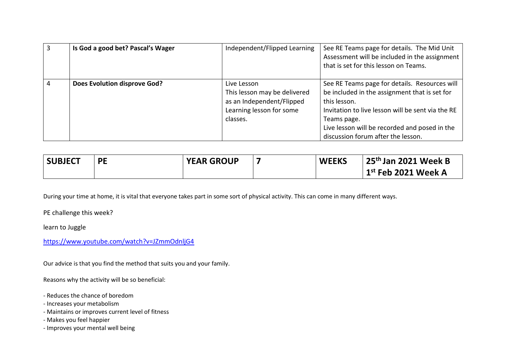| 3 | Is God a good bet? Pascal's Wager | Independent/Flipped Learning                                                                                     | See RE Teams page for details. The Mid Unit<br>Assessment will be included in the assignment<br>that is set for this lesson on Teams.                                                                                                                                     |
|---|-----------------------------------|------------------------------------------------------------------------------------------------------------------|---------------------------------------------------------------------------------------------------------------------------------------------------------------------------------------------------------------------------------------------------------------------------|
|   | Does Evolution disprove God?      | Live Lesson<br>This lesson may be delivered<br>as an Independent/Flipped<br>Learning lesson for some<br>classes. | See RE Teams page for details. Resources will<br>be included in the assignment that is set for<br>this lesson.<br>Invitation to live lesson will be sent via the RE<br>Teams page.<br>Live lesson will be recorded and posed in the<br>discussion forum after the lesson. |

| <b>SUBJECT</b> | PE | <b>YEAR GROUP</b> | <b>WEEKS</b> | $25th$ Jan 2021 Week B |
|----------------|----|-------------------|--------------|------------------------|
|                |    |                   |              | $1st$ Feb 2021 Week A  |

During your time at home, it is vital that everyone takes part in some sort of physical activity. This can come in many different ways.

PE challenge this week?

learn to Juggle

<https://www.youtube.com/watch?v=JZmmOdnljG4>

Our advice is that you find the method that suits you and your family.

Reasons why the activity will be so beneficial:

- Reduces the chance of boredom
- Increases your metabolism
- Maintains or improves current level of fitness
- Makes you feel happier
- Improves your mental well being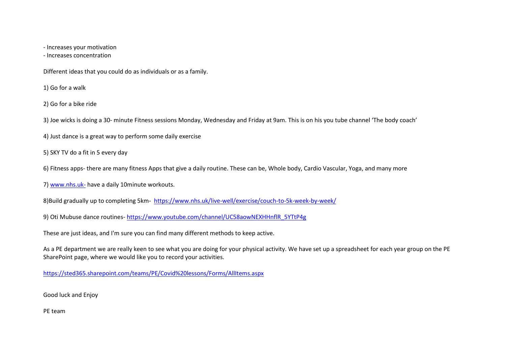- Increases your motivation

- Increases concentration

Different ideas that you could do as individuals or as a family.

1) Go for a walk

2) Go for a bike ride

3) Joe wicks is doing a 30- minute Fitness sessions Monday, Wednesday and Friday at 9am. This is on his you tube channel 'The body coach'

4) Just dance is a great way to perform some daily exercise

5) SKY TV do a fit in 5 every day

6) Fitness apps- there are many fitness Apps that give a daily routine. These can be, Whole body, Cardio Vascular, Yoga, and many more

7) [www.nhs.uk-](http://www.nhs.uk-/) have a daily 10minute workouts.

8)Build gradually up to completing 5km- <https://www.nhs.uk/live-well/exercise/couch-to-5k-week-by-week/>

9) Oti Mubuse dance routines- [https://www.youtube.com/channel/UC58aowNEXHHnflR\\_5YTtP4g](https://www.youtube.com/channel/UC58aowNEXHHnflR_5YTtP4g)

These are just ideas, and I'm sure you can find many different methods to keep active.

As a PE department we are really keen to see what you are doing for your physical activity. We have set up a spreadsheet for each year group on the PE SharePoint page, where we would like you to record your activities.

<https://sted365.sharepoint.com/teams/PE/Covid%20lessons/Forms/AllItems.aspx>

Good luck and Enjoy

PE team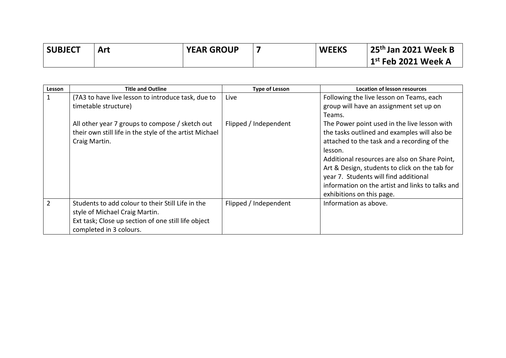| <b>SUBJECT</b> | Art | <b>YEAR GROUP</b> | <b>WEEKS</b> | 25 <sup>th</sup> Jan 2021 Week B |
|----------------|-----|-------------------|--------------|----------------------------------|
|                |     |                   |              | $\vert$ 1st Feb 2021 Week A      |

| Lesson         | <b>Title and Outline</b>                                                                                                                                              | <b>Type of Lesson</b> | <b>Location of lesson resources</b>                                                                                                                                                                                                                                                                                                                                                 |
|----------------|-----------------------------------------------------------------------------------------------------------------------------------------------------------------------|-----------------------|-------------------------------------------------------------------------------------------------------------------------------------------------------------------------------------------------------------------------------------------------------------------------------------------------------------------------------------------------------------------------------------|
|                | (7A3 to have live lesson to introduce task, due to<br>timetable structure)                                                                                            | Live                  | Following the live lesson on Teams, each<br>group will have an assignment set up on<br>Teams.                                                                                                                                                                                                                                                                                       |
|                | All other year 7 groups to compose / sketch out<br>their own still life in the style of the artist Michael<br>Craig Martin.                                           | Flipped / Independent | The Power point used in the live lesson with<br>the tasks outlined and examples will also be<br>attached to the task and a recording of the<br>lesson.<br>Additional resources are also on Share Point,<br>Art & Design, students to click on the tab for<br>year 7. Students will find additional<br>information on the artist and links to talks and<br>exhibitions on this page. |
| $\overline{2}$ | Students to add colour to their Still Life in the<br>style of Michael Craig Martin.<br>Ext task; Close up section of one still life object<br>completed in 3 colours. | Flipped / Independent | Information as above.                                                                                                                                                                                                                                                                                                                                                               |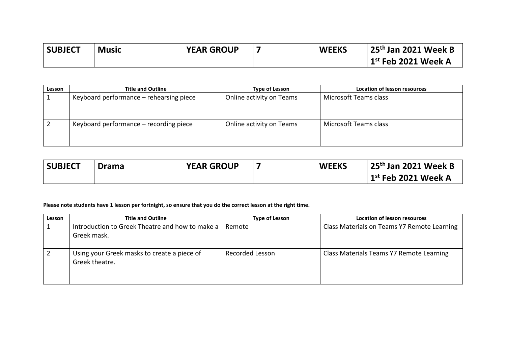| <b>SUBJECT</b> | Music | <b>YEAR GROUP</b> | <b>WEEKS</b> | <sup> </sup> 25 <sup>th</sup> Jan 2021 Week B |
|----------------|-------|-------------------|--------------|-----------------------------------------------|
|                |       |                   |              | $^{\shortmid}$ 1 $^{\rm st}$ Feb 2021 Week A  |

| Lesson | <b>Title and Outline</b>                | <b>Type of Lesson</b>    | Location of lesson resources |
|--------|-----------------------------------------|--------------------------|------------------------------|
|        | Keyboard performance – rehearsing piece | Online activity on Teams | Microsoft Teams class        |
|        | Keyboard performance – recording piece  | Online activity on Teams | Microsoft Teams class        |

| <b>SUBJECT</b> | <b>Drama</b> | <b>YEAR GROUP</b> | <b>WEEKS</b> | 25 <sup>th</sup> Jan 2021 Week B      |
|----------------|--------------|-------------------|--------------|---------------------------------------|
|                |              |                   |              | $\vert$ 1 $^{\rm st}$ Feb 2021 Week A |

### **Please note students have 1 lesson per fortnight, so ensure that you do the correct lesson at the right time.**

| Lesson | <b>Title and Outline</b>                                       | <b>Type of Lesson</b>  | <b>Location of lesson resources</b>         |
|--------|----------------------------------------------------------------|------------------------|---------------------------------------------|
|        | Introduction to Greek Theatre and how to make a<br>Greek mask. | Remote                 | Class Materials on Teams Y7 Remote Learning |
|        | Using your Greek masks to create a piece of<br>Greek theatre.  | <b>Recorded Lesson</b> | Class Materials Teams Y7 Remote Learning    |